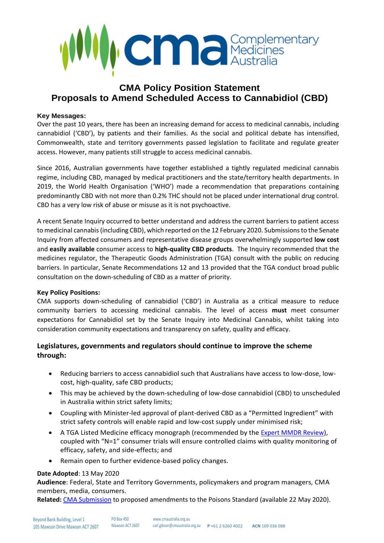

# **CMA Policy Position Statement Proposals to Amend Scheduled Access to Cannabidiol (CBD)**

#### **Key Messages:**

Over the past 10 years, there has been an increasing demand for access to medicinal cannabis, including cannabidiol ('CBD'), by patients and their families. As the social and political debate has intensified, Commonwealth, state and territory governments passed legislation to facilitate and regulate greater access. However, many patients still struggle to access medicinal cannabis.

Since 2016, Australian governments have together established a tightly regulated medicinal cannabis regime, including CBD, managed by medical practitioners and the state/territory health departments. In 2019, the World Health Organisation ('WHO') made a recommendation that preparations containing predominantly CBD with not more than 0.2% THC should not be placed under international drug control. CBD has a very low risk of abuse or misuse as it is not psychoactive.

A recent Senate Inquiry occurred to better understand and address the current barriers to patient access to medicinal cannabis(including CBD), which reported on the 12 February 2020. Submissions to the Senate Inquiry from affected consumers and representative disease groups overwhelmingly supported **low cost** and **easily available** consumer access to **high-quality CBD products**. The Inquiry recommended that the medicines regulator, the Therapeutic Goods Administration (TGA) consult with the public on reducing barriers. In particular, Senate Recommendations 12 and 13 provided that the TGA conduct broad public consultation on the down-scheduling of CBD as a matter of priority.

#### **Key Policy Positions:**

CMA supports down-scheduling of cannabidiol ('CBD') in Australia as a critical measure to reduce community barriers to accessing medicinal cannabis. The level of access **must** meet consumer expectations for Cannabidiol set by the Senate Inquiry into Medicinal Cannabis, whilst taking into consideration community expectations and transparency on safety, quality and efficacy.

### **Legislatures, governments and regulators should continue to improve the scheme through:**

- Reducing barriers to access cannabidiol such that Australians have access to low-dose, lowcost, high-quality, safe CBD products;
- This may be achieved by the down-scheduling of low-dose cannabidiol (CBD) to unscheduled in Australia within strict safety limits;
- Coupling with Minister-led approval of plant-derived CBD as a "Permitted Ingredient" with strict safety controls will enable rapid and low-cost supply under minimised risk;
- A TGA Listed Medicine efficacy monograph (recommended by the [Expert MMDR Review\)](https://www1.health.gov.au/internet/main/publishing.nsf/Content/Expert-Review-of-Medicines-and-Medical-Devices-Regulation), coupled with "N=1" consumer trials will ensure controlled claims with quality monitoring of efficacy, safety, and side-effects; and
- Remain open to further evidence-based policy changes.

### **Date Adopted**: 13 May 2020

**Audience**: Federal, State and Territory Governments, policymakers and program managers, CMA members, media, consumers.

**Related:** [CMA Submission](http://www.cmaustralia.org.au/Submissions) to proposed amendments to the Poisons Standard (available 22 May 2020).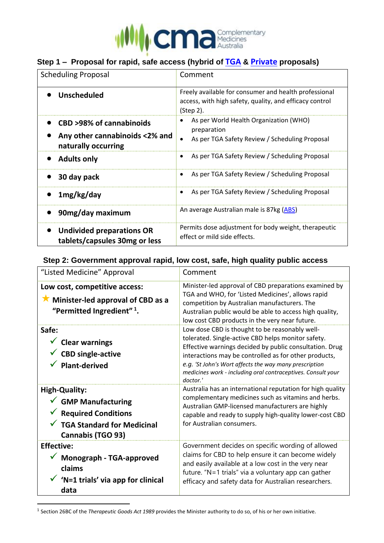

# **Step 1 – Proposal for rapid, safe access (hybrid of [TGA](https://www.tga.gov.au/consultation-invitation/consultation-proposed-amendments-poisons-standard-joint-acmsaccs-meetings-june-2020) & [Private](https://www.tga.gov.au/consultation-invitation/consultation-proposed-amendments-poisons-standard-acms-and-joint-acmsaccs-meetings-june-2020#s2) proposals)**

| <b>Scheduling Proposal</b>                                                        | Comment                                                                                                                       |  |  |
|-----------------------------------------------------------------------------------|-------------------------------------------------------------------------------------------------------------------------------|--|--|
| <b>Unscheduled</b>                                                                | Freely available for consumer and health professional<br>access, with high safety, quality, and efficacy control<br>(Step 2). |  |  |
| CBD >98% of cannabinoids<br>Any other cannabinoids <2% and<br>naturally occurring | As per World Health Organization (WHO)<br>preparation<br>As per TGA Safety Review / Scheduling Proposal                       |  |  |
| <b>Adults only</b>                                                                | As per TGA Safety Review / Scheduling Proposal                                                                                |  |  |
| 30 day pack                                                                       | As per TGA Safety Review / Scheduling Proposal<br>٠                                                                           |  |  |
| 1mg/kg/day                                                                        | As per TGA Safety Review / Scheduling Proposal<br>٠                                                                           |  |  |
| 90mg/day maximum                                                                  | An average Australian male is 87kg (ABS)                                                                                      |  |  |
| <b>Undivided preparations OR</b><br>tablets/capsules 30mg or less                 | Permits dose adjustment for body weight, therapeutic<br>effect or mild side effects.                                          |  |  |

## **Step 2: Government approval rapid, low cost, safe, high quality public access**

| "Listed Medicine" Approval                                                                                                                     | Comment                                                                                                                                                                                                                                                                                                                                                        |
|------------------------------------------------------------------------------------------------------------------------------------------------|----------------------------------------------------------------------------------------------------------------------------------------------------------------------------------------------------------------------------------------------------------------------------------------------------------------------------------------------------------------|
| Low cost, competitive access:<br>$\star$ Minister-led approval of CBD as a<br>"Permitted Ingredient" <sup>1</sup> .                            | Minister-led approval of CBD preparations examined by<br>TGA and WHO, for 'Listed Medicines', allows rapid<br>competition by Australian manufacturers. The<br>Australian public would be able to access high quality,<br>low cost CBD products in the very near future.                                                                                        |
| Safe:<br>$\checkmark$ Clear warnings<br>$\checkmark$ CBD single-active<br><b>Plant-derived</b>                                                 | Low dose CBD is thought to be reasonably well-<br>tolerated. Single-active CBD helps monitor safety.<br>Effective warnings decided by public consultation. Drug<br>interactions may be controlled as for other products,<br>e.g. 'St John's Wort affects the way many prescription<br>medicines work - including oral contraceptives. Consult your<br>doctor.' |
| <b>High-Quality:</b><br>$\checkmark$ GMP Manufacturing<br><b>Required Conditions</b><br>TGA Standard for Medicinal<br><b>Cannabis (TGO 93)</b> | Australia has an international reputation for high quality<br>complementary medicines such as vitamins and herbs.<br>Australian GMP-licensed manufacturers are highly<br>capable and ready to supply high-quality lower-cost CBD<br>for Australian consumers.                                                                                                  |
| <b>Effective:</b><br>$\checkmark$ Monograph - TGA-approved<br>claims<br>'N=1 trials' via app for clinical<br>data                              | Government decides on specific wording of allowed<br>claims for CBD to help ensure it can become widely<br>and easily available at a low cost in the very near<br>future. "N=1 trials" via a voluntary app can gather<br>efficacy and safety data for Australian researchers.                                                                                  |

1 Section 26BC of the *Therapeutic Goods Act 1989* provides the Minister authority to do so, of his or her own initiative.